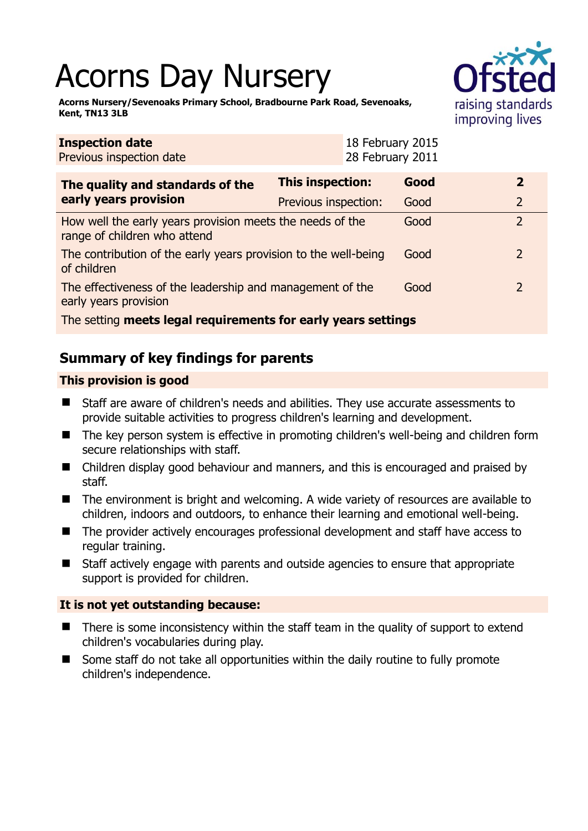# Acorns Day Nursery



**Acorns Nursery/Sevenoaks Primary School, Bradbourne Park Road, Sevenoaks, Kent, TN13 3LB** 

| Previous inspection date                                                                  |                         | 28 February 2011 |      |  |                |
|-------------------------------------------------------------------------------------------|-------------------------|------------------|------|--|----------------|
| The quality and standards of the<br>early years provision                                 | <b>This inspection:</b> |                  | Good |  | $\overline{2}$ |
|                                                                                           | Previous inspection:    |                  | Good |  | $\overline{2}$ |
| How well the early years provision meets the needs of the<br>range of children who attend |                         |                  | Good |  | $\overline{2}$ |
| The contribution of the early years provision to the well-being<br>of children            |                         |                  | Good |  | $\mathcal{L}$  |
| The effectiveness of the leadership and management of the<br>early years provision        |                         |                  | Good |  | $\mathcal{L}$  |
| The setting meets legal requirements for early years settings                             |                         |                  |      |  |                |

18 February 2015

# **Summary of key findings for parents**

### **This provision is good**

**Inspection date**

- Staff are aware of children's needs and abilities. They use accurate assessments to provide suitable activities to progress children's learning and development.
- The key person system is effective in promoting children's well-being and children form secure relationships with staff.
- Children display good behaviour and manners, and this is encouraged and praised by staff.
- The environment is bright and welcoming. A wide variety of resources are available to children, indoors and outdoors, to enhance their learning and emotional well-being.
- The provider actively encourages professional development and staff have access to regular training.
- Staff actively engage with parents and outside agencies to ensure that appropriate support is provided for children.

#### **It is not yet outstanding because:**

- There is some inconsistency within the staff team in the quality of support to extend children's vocabularies during play.
- Some staff do not take all opportunities within the daily routine to fully promote children's independence.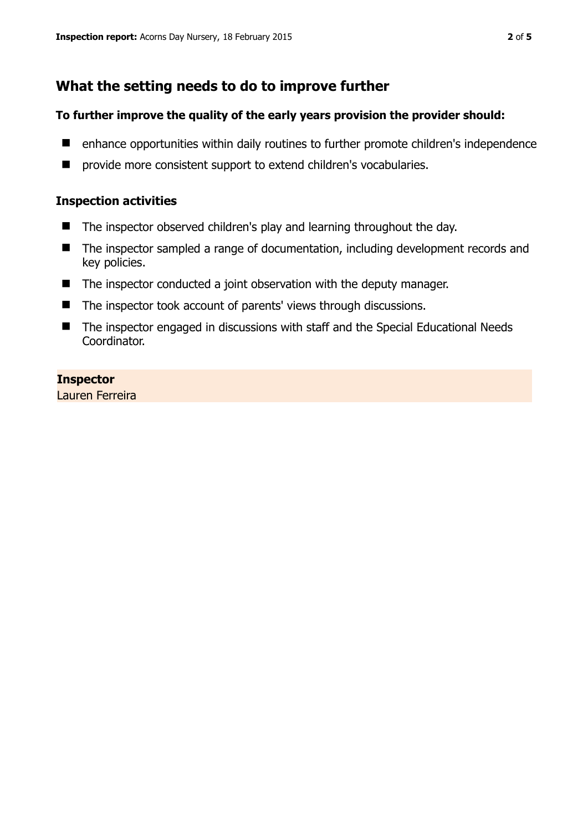## **What the setting needs to do to improve further**

#### **To further improve the quality of the early years provision the provider should:**

- enhance opportunities within daily routines to further promote children's independence
- **P** provide more consistent support to extend children's vocabularies.

#### **Inspection activities**

- The inspector observed children's play and learning throughout the day.
- The inspector sampled a range of documentation, including development records and key policies.
- The inspector conducted a joint observation with the deputy manager.
- The inspector took account of parents' views through discussions.
- The inspector engaged in discussions with staff and the Special Educational Needs Coordinator.

#### **Inspector**

Lauren Ferreira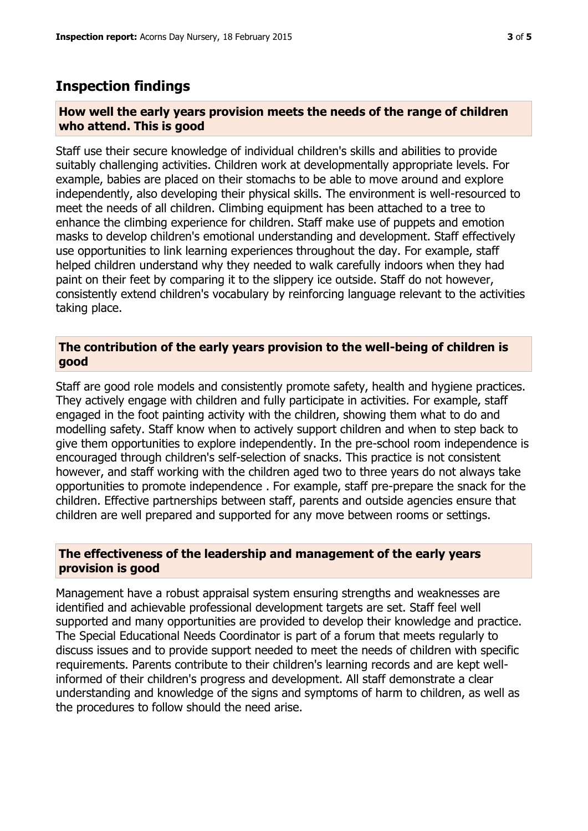## **Inspection findings**

#### **How well the early years provision meets the needs of the range of children who attend. This is good**

Staff use their secure knowledge of individual children's skills and abilities to provide suitably challenging activities. Children work at developmentally appropriate levels. For example, babies are placed on their stomachs to be able to move around and explore independently, also developing their physical skills. The environment is well-resourced to meet the needs of all children. Climbing equipment has been attached to a tree to enhance the climbing experience for children. Staff make use of puppets and emotion masks to develop children's emotional understanding and development. Staff effectively use opportunities to link learning experiences throughout the day. For example, staff helped children understand why they needed to walk carefully indoors when they had paint on their feet by comparing it to the slippery ice outside. Staff do not however, consistently extend children's vocabulary by reinforcing language relevant to the activities taking place.

#### **The contribution of the early years provision to the well-being of children is good**

Staff are good role models and consistently promote safety, health and hygiene practices. They actively engage with children and fully participate in activities. For example, staff engaged in the foot painting activity with the children, showing them what to do and modelling safety. Staff know when to actively support children and when to step back to give them opportunities to explore independently. In the pre-school room independence is encouraged through children's self-selection of snacks. This practice is not consistent however, and staff working with the children aged two to three years do not always take opportunities to promote independence . For example, staff pre-prepare the snack for the children. Effective partnerships between staff, parents and outside agencies ensure that children are well prepared and supported for any move between rooms or settings.

#### **The effectiveness of the leadership and management of the early years provision is good**

Management have a robust appraisal system ensuring strengths and weaknesses are identified and achievable professional development targets are set. Staff feel well supported and many opportunities are provided to develop their knowledge and practice. The Special Educational Needs Coordinator is part of a forum that meets regularly to discuss issues and to provide support needed to meet the needs of children with specific requirements. Parents contribute to their children's learning records and are kept wellinformed of their children's progress and development. All staff demonstrate a clear understanding and knowledge of the signs and symptoms of harm to children, as well as the procedures to follow should the need arise.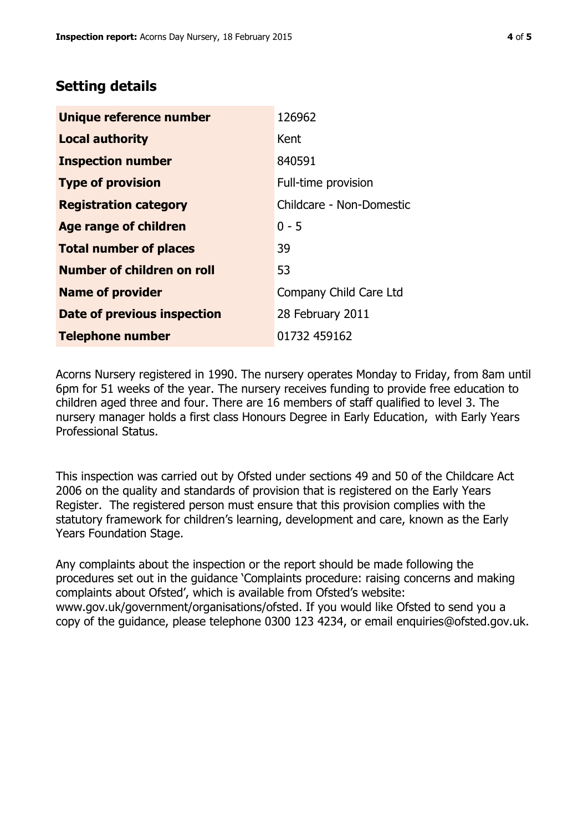## **Setting details**

| Unique reference number       | 126962                   |  |  |
|-------------------------------|--------------------------|--|--|
| <b>Local authority</b>        | Kent                     |  |  |
| <b>Inspection number</b>      | 840591                   |  |  |
| <b>Type of provision</b>      | Full-time provision      |  |  |
| <b>Registration category</b>  | Childcare - Non-Domestic |  |  |
| Age range of children         | $0 - 5$                  |  |  |
| <b>Total number of places</b> | 39                       |  |  |
| Number of children on roll    | 53                       |  |  |
| <b>Name of provider</b>       | Company Child Care Ltd   |  |  |
| Date of previous inspection   | 28 February 2011         |  |  |
| <b>Telephone number</b>       | 01732 459162             |  |  |

Acorns Nursery registered in 1990. The nursery operates Monday to Friday, from 8am until 6pm for 51 weeks of the year. The nursery receives funding to provide free education to children aged three and four. There are 16 members of staff qualified to level 3. The nursery manager holds a first class Honours Degree in Early Education, with Early Years Professional Status.

This inspection was carried out by Ofsted under sections 49 and 50 of the Childcare Act 2006 on the quality and standards of provision that is registered on the Early Years Register. The registered person must ensure that this provision complies with the statutory framework for children's learning, development and care, known as the Early Years Foundation Stage.

Any complaints about the inspection or the report should be made following the procedures set out in the guidance 'Complaints procedure: raising concerns and making complaints about Ofsted', which is available from Ofsted's website: www.gov.uk/government/organisations/ofsted. If you would like Ofsted to send you a copy of the guidance, please telephone 0300 123 4234, or email enquiries@ofsted.gov.uk.